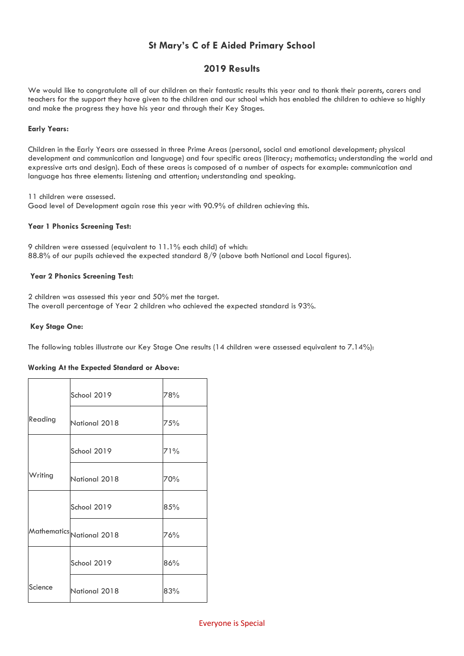# **St Mary's C of E Aided Primary School**

## **2019 Results**

We would like to congratulate all of our children on their fantastic results this year and to thank their parents, carers and teachers for the support they have given to the children and our school which has enabled the children to achieve so highly and make the progress they have his year and through their Key Stages.

#### **Early Years:**

Children in the Early Years are assessed in three Prime Areas (personal, social and emotional development; physical development and communication and language) and four specific areas (literacy; mathematics; understanding the world and expressive arts and design). Each of these areas is composed of a number of aspects for example: communication and language has three elements: listening and attention; understanding and speaking.

11 children were assessed. Good level of Development again rose this year with 90.9% of children achieving this.

#### **Year 1 Phonics Screening Test:**

9 children were assessed (equivalent to 11.1% each child) of which: 88.8% of our pupils achieved the expected standard 8/9 (above both National and Local figures).

#### **Year 2 Phonics Screening Test:**

2 children was assessed this year and 50% met the target. The overall percentage of Year 2 children who achieved the expected standard is 93%.

### **Key Stage One:**

The following tables illustrate our Key Stage One results (14 children were assessed equivalent to 7.14%):

## **Working At the Expected Standard or Above:**

|         | School 2019               | 78% |
|---------|---------------------------|-----|
| Reading | National 2018             | 75% |
|         | School 2019               | 71% |
| Writing | National 2018             | 70% |
|         | School 2019               | 85% |
|         | Mathematics National 2018 | 76% |
|         | School 2019               | 86% |
| Science | National 2018             | 83% |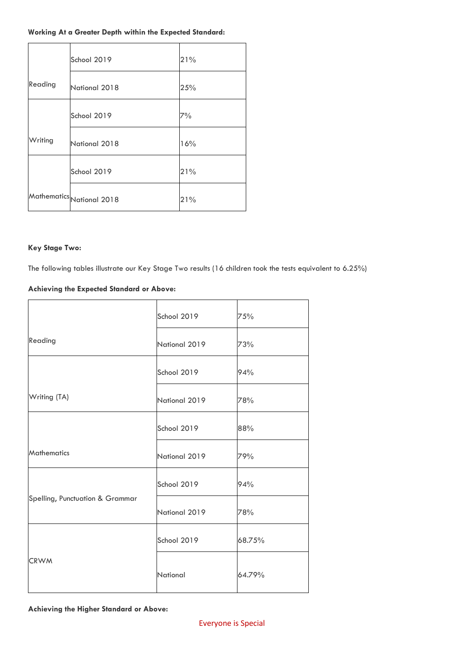## **Working At a Greater Depth within the Expected Standard:**

|         | School 2019               | 21% |
|---------|---------------------------|-----|
| Reading | National 2018             | 25% |
|         | School 2019               | 7%  |
| Writing | National 2018             | 16% |
|         | School 2019               | 21% |
|         | Mathematics National 2018 | 21% |

## **Key Stage Two:**

The following tables illustrate our Key Stage Two results (16 children took the tests equivalent to 6.25%)

## **Achieving the Expected Standard or Above:**

|                                 | School 2019          | 75%    |
|---------------------------------|----------------------|--------|
| Reading                         | National 2019        | 73%    |
|                                 | School 2019          | 94%    |
| Writing (TA)                    | National 2019        | 78%    |
|                                 | School 2019          | 88%    |
| <b>Mathematics</b>              | National 2019        | 79%    |
|                                 | School 2019          | 94%    |
| Spelling, Punctuation & Grammar | National 2019<br>78% |        |
|                                 | School 2019          | 68.75% |
| <b>CRWM</b>                     | National             | 64.79% |

## **Achieving the Higher Standard or Above:**